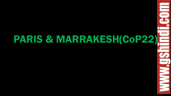# PARIS & MARRAKESH(CoP22)

E<br>For

**SSSSSSSSSSSSSSSS**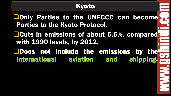## Kyoto

**Only Parties to the UNFCCC can become** Parties to the Kyoto Protocol.

Cuts in emissions of about 5.5%, compared with 1990 levels, by 2012.

Does not include the emissions by the International aviation and shipping. **ENNER**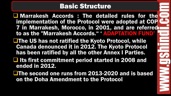#### Basic Structure

 Marrakesh Accords : The detailed rules for the implementation of the Protocol were adopted at COP 7 in Marrakesh, Morocco, in 2001, and are referred to as the "Marrakesh Accords. " ' ADAPTATION FUND'

**The US has not ratified the Kyoto Protocol, while** Canada denounced it in 2012. The Kyoto Protocol has been ratified by all the other Annex I Parties.

 $\Box$  Its first commitment period started in 2008 and ended in 2012.

**The second one runs from 2013-2020 and is based** on the Doha Amendment to the Protocol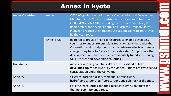## Annex in kyoto

| <b>Annex Countries</b> | <b>Annex 1</b> | <b>OECD (Organisation for Economic Co-operation and Development)</b><br>Members in 1992, plus countries with economies in transition<br>(संक्रमंशील अर्थव्यवस्था), including the Russian Federation, the<br>Baltic States, and several Central and Eastern European States.<br>Pledged to reduce their greenhouse gas emissions to 1990 levels<br>by the year 2000.                    |
|------------------------|----------------|----------------------------------------------------------------------------------------------------------------------------------------------------------------------------------------------------------------------------------------------------------------------------------------------------------------------------------------------------------------------------------------|
|                        | Annex II (23)  | Required to provide financial resources to enable developing<br>countries to undertake emissions reduction activities under the<br>Convention and to help them adapt to adverse effects of climate<br>change. They have to "take all practicable steps" to promote the<br>development and transfer of environmentally friendly technologies<br>to EIT Parties and developing countries |
| <b>Non Annex</b>       |                | mostly developing countries. 49 Parties classified as least<br>developed countries (LDCs) by the United Nations are given special<br>consideration under the Convention                                                                                                                                                                                                                |
| <b>Annex A</b>         |                | six gases: carbon dioxide, methane, nitrous oxide,<br>hydrofluorocarbons, perfluorocarbons and sulphur hexafluoride.                                                                                                                                                                                                                                                                   |
| Annex B                |                | Lists the 39 countries and their respective emission target for<br>the first commitment period.                                                                                                                                                                                                                                                                                        |

 $\equiv$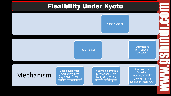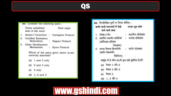#### QS

| 30. Consider the following pairs :        |                                       |
|-------------------------------------------|---------------------------------------|
| Terms sometimes<br>seen in the news       | Their origin                          |
| 1. Annex-I Countries : Cartagena Protocol |                                       |
| <b>Certified Emissions</b><br>Reductions  | : Nagoya Protocol                     |
| Clean Development<br>Mechanism            | : Kyoto Protocol                      |
| correctly matched?                        | Which of the pairs given above is/arc |
| $(a)$ 1 and 2 only                        |                                       |
| (b) $2$ and $3$ only                      | Gà.                                   |
| $(c)$ 3 only                              |                                       |
| $1, 2$ and 3<br>(d)                       |                                       |
|                                           | 2.                                    |

|    | 30. निम्नलिखित युग्मों पर विचार कीजिए:<br>कभी-कभी समाचारों में देखें उनका मूल स्रोत<br>जाने वाले शब्द                                  |  |
|----|----------------------------------------------------------------------------------------------------------------------------------------|--|
|    | : कारजिना प्रोटोकॉल<br>1. एनेक्स-1 देश<br>$\sim$<br>2. प्रमाणित उत्सर्जन कटौतियाँ : नागोया प्रोटोकॉल<br>(सर्टिफाइड एमिशंस<br>रिडक्शंस) |  |
|    | : क्योटो प्रोटोकॉल<br>3. स्वच्छ विकास क्रियाविधि<br>(क्लीन डेवलपमेंट<br>मेकेनिज्म)<br>t.                                               |  |
|    | उपर्युक्त में से कौन-सा/से युग्म सही सुमेलित है/हैं?                                                                                   |  |
|    | (a) केवल 1 और 2<br><b>U.L.</b>                                                                                                         |  |
| g, | (b) केवल 2 और 3                                                                                                                        |  |
| đ  | (c) केवल 3<br>$(d)$ 1, 2 और 3                                                                                                          |  |

# www.gshindi.com